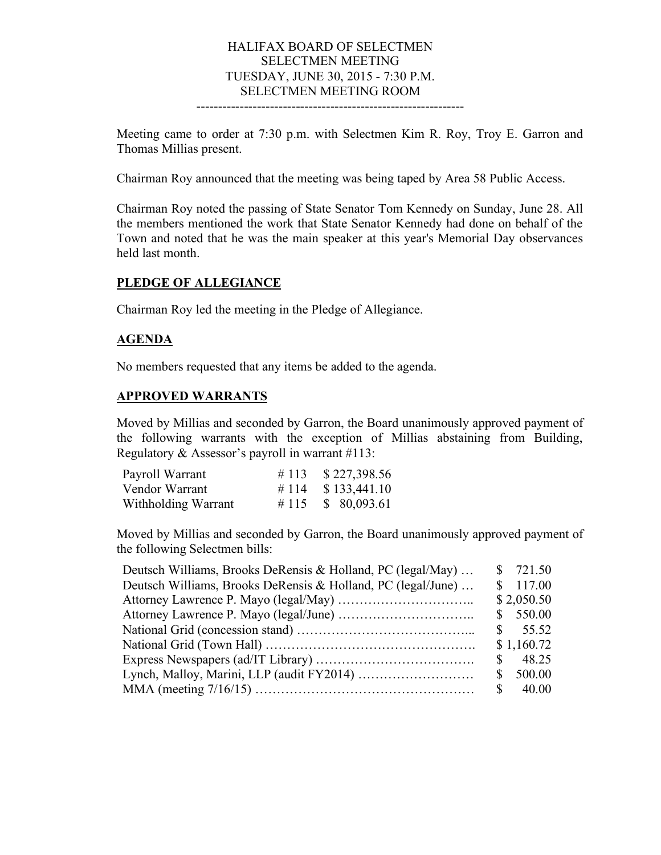## HALIFAX BOARD OF SELECTMEN SELECTMEN MEETING TUESDAY, JUNE 30, 2015 - 7:30 P.M. SELECTMEN MEETING ROOM

--------------------------------------------------------------

Meeting came to order at 7:30 p.m. with Selectmen Kim R. Roy, Troy E. Garron and Thomas Millias present.

Chairman Roy announced that the meeting was being taped by Area 58 Public Access.

Chairman Roy noted the passing of State Senator Tom Kennedy on Sunday, June 28. All the members mentioned the work that State Senator Kennedy had done on behalf of the Town and noted that he was the main speaker at this year's Memorial Day observances held last month.

#### **PLEDGE OF ALLEGIANCE**

Chairman Roy led the meeting in the Pledge of Allegiance.

#### **AGENDA**

No members requested that any items be added to the agenda.

#### **APPROVED WARRANTS**

Moved by Millias and seconded by Garron, the Board unanimously approved payment of the following warrants with the exception of Millias abstaining from Building, Regulatory & Assessor's payroll in warrant #113:

| Payroll Warrant     | # 113 $$227,398.56$  |
|---------------------|----------------------|
| Vendor Warrant      | # 114 $$ 133,441.10$ |
| Withholding Warrant | # 115 $\$$ 80,093.61 |

Moved by Millias and seconded by Garron, the Board unanimously approved payment of the following Selectmen bills:

| Deutsch Williams, Brooks DeRensis & Holland, PC (legal/May)  |    | \$721.50           |
|--------------------------------------------------------------|----|--------------------|
| Deutsch Williams, Brooks DeRensis & Holland, PC (legal/June) |    | \$117.00           |
|                                                              |    | \$2,050.50         |
|                                                              |    | \$550.00           |
|                                                              |    | $\frac{\$}{55.52}$ |
|                                                              |    | \$1,160.72         |
|                                                              | S. | 48.25              |
|                                                              | S. | 500.00             |
|                                                              |    | $\frac{\$}{1000}$  |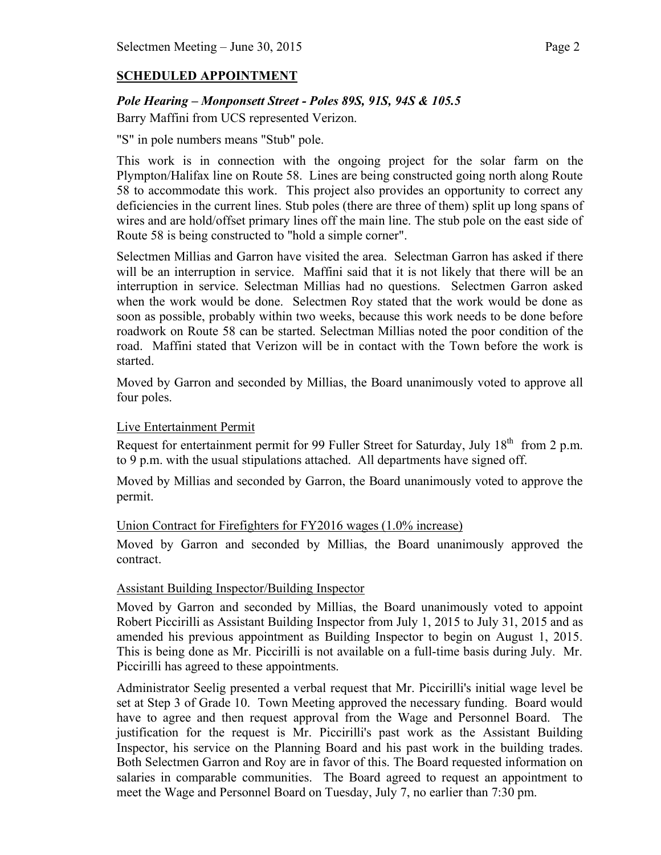# **SCHEDULED APPOINTMENT**

## *Pole Hearing – Monponsett Street - Poles 89S, 91S, 94S & 105.5*

Barry Maffini from UCS represented Verizon.

"S" in pole numbers means "Stub" pole.

This work is in connection with the ongoing project for the solar farm on the Plympton/Halifax line on Route 58. Lines are being constructed going north along Route 58 to accommodate this work. This project also provides an opportunity to correct any deficiencies in the current lines. Stub poles (there are three of them) split up long spans of wires and are hold/offset primary lines off the main line. The stub pole on the east side of Route 58 is being constructed to "hold a simple corner".

Selectmen Millias and Garron have visited the area. Selectman Garron has asked if there will be an interruption in service. Maffini said that it is not likely that there will be an interruption in service. Selectman Millias had no questions. Selectmen Garron asked when the work would be done. Selectmen Roy stated that the work would be done as soon as possible, probably within two weeks, because this work needs to be done before roadwork on Route 58 can be started. Selectman Millias noted the poor condition of the road. Maffini stated that Verizon will be in contact with the Town before the work is started.

Moved by Garron and seconded by Millias, the Board unanimously voted to approve all four poles.

### Live Entertainment Permit

Request for entertainment permit for 99 Fuller Street for Saturday, July 18<sup>th</sup> from 2 p.m. to 9 p.m. with the usual stipulations attached. All departments have signed off.

Moved by Millias and seconded by Garron, the Board unanimously voted to approve the permit.

#### Union Contract for Firefighters for FY2016 wages (1.0% increase)

Moved by Garron and seconded by Millias, the Board unanimously approved the contract.

#### Assistant Building Inspector/Building Inspector

Moved by Garron and seconded by Millias, the Board unanimously voted to appoint Robert Piccirilli as Assistant Building Inspector from July 1, 2015 to July 31, 2015 and as amended his previous appointment as Building Inspector to begin on August 1, 2015. This is being done as Mr. Piccirilli is not available on a full-time basis during July. Mr. Piccirilli has agreed to these appointments.

Administrator Seelig presented a verbal request that Mr. Piccirilli's initial wage level be set at Step 3 of Grade 10. Town Meeting approved the necessary funding. Board would have to agree and then request approval from the Wage and Personnel Board. The justification for the request is Mr. Piccirilli's past work as the Assistant Building Inspector, his service on the Planning Board and his past work in the building trades. Both Selectmen Garron and Roy are in favor of this. The Board requested information on salaries in comparable communities. The Board agreed to request an appointment to meet the Wage and Personnel Board on Tuesday, July 7, no earlier than 7:30 pm.